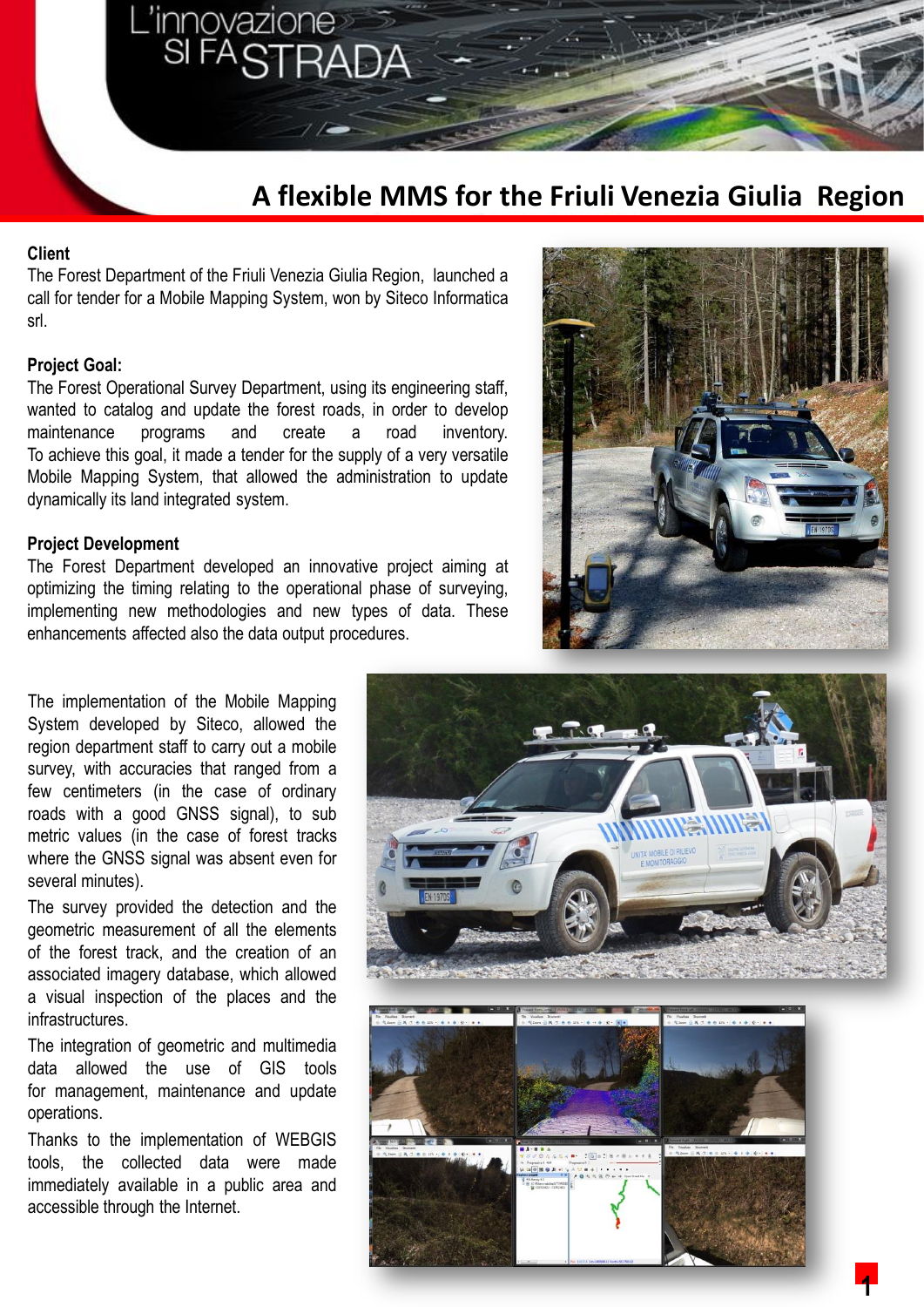# **A flexible MMS for the Friuli Venezia Giulia Region**

#### **Client**

The Forest Department of the Friuli Venezia Giulia Region, launched a call for tender for a Mobile Mapping System, won by Siteco Informatica srl.

innovazione<br>SI FASTRA

#### **Project Goal:**

The Forest Operational Survey Department, using its engineering staff, wanted to catalog and update the forest roads, in order to develop maintenance programs and create a road inventory. To achieve this goal, it made a tender for the supply of a very versatile Mobile Mapping System, that allowed the administration to update dynamically its land integrated system.

#### **Project Development**

The Forest Department developed an innovative project aiming at optimizing the timing relating to the operational phase of surveying, implementing new methodologies and new types of data. These enhancements affected also the data output procedures.



The implementation of the Mobile Mapping System developed by Siteco, allowed the region department staff to carry out a mobile survey, with accuracies that ranged from a few centimeters (in the case of ordinary roads with a good GNSS signal), to sub metric values (in the case of forest tracks where the GNSS signal was absent even for several minutes).

The survey provided the detection and the geometric measurement of all the elements of the forest track, and the creation of an associated imagery database, which allowed a visual inspection of the places and the infrastructures.

The integration of geometric and multimedia data allowed the use of GIS tools for management, maintenance and update operations.

Thanks to the implementation of WEBGIS tools, the collected data were made immediately available in a public area and accessible through the Internet.





**1**